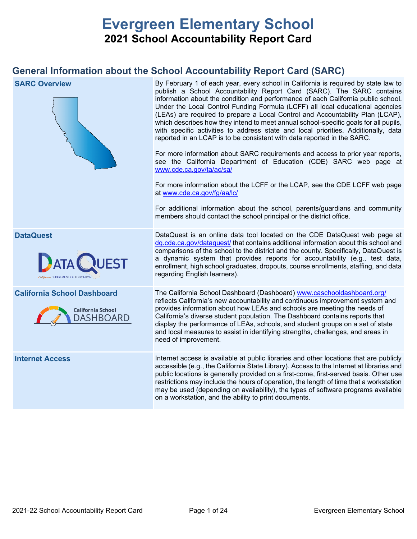# **Evergreen Elementary School 2021 School Accountability Report Card**

## **General Information about the School Accountability Report Card (SARC)**

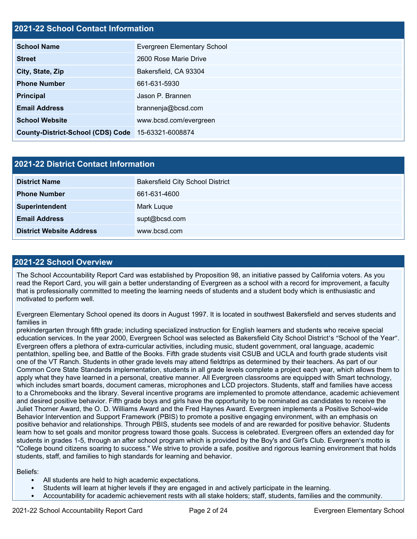## **2021-22 School Contact Information**

| <b>School Name</b>                                 | Evergreen Elementary School |  |  |  |
|----------------------------------------------------|-----------------------------|--|--|--|
| <b>Street</b>                                      | 2600 Rose Marie Drive       |  |  |  |
| City, State, Zip                                   | Bakersfield, CA 93304       |  |  |  |
| <b>Phone Number</b>                                | 661-631-5930                |  |  |  |
| <b>Principal</b>                                   | Jason P. Brannen            |  |  |  |
| <b>Email Address</b>                               | brannenja@bcsd.com          |  |  |  |
| <b>School Website</b>                              | www.bcsd.com/evergreen      |  |  |  |
| County-District-School (CDS) Code 15-63321-6008874 |                             |  |  |  |

| 2021-22 District Contact Information |                                         |  |  |  |
|--------------------------------------|-----------------------------------------|--|--|--|
| <b>District Name</b>                 | <b>Bakersfield City School District</b> |  |  |  |
| <b>Phone Number</b>                  | 661-631-4600                            |  |  |  |
| Superintendent                       | Mark Luque                              |  |  |  |
| <b>Email Address</b>                 | supt@bcsd.com                           |  |  |  |
| <b>District Website Address</b>      | www.bcsd.com                            |  |  |  |

#### **2021-22 School Overview**

The School Accountability Report Card was established by Proposition 98, an initiative passed by California voters. As you read the Report Card, you will gain a better understanding of Evergreen as a school with a record for improvement, a faculty that is professionally committed to meeting the learning needs of students and a student body which is enthusiastic and motivated to perform well.

Evergreen Elementary School opened its doors in August 1997. It is located in southwest Bakersfield and serves students and families in

prekindergarten through fifth grade; including specialized instruction for English learners and students who receive special education services. In the year 2000, Evergreen School was selected as Bakersfield City School District's "School of the Year". Evergreen offers a plethora of extra-curricular activities, including music, student government, oral language, academic pentathlon, spelling bee, and Battle of the Books. Fifth grade students visit CSUB and UCLA and fourth grade students visit one of the VT Ranch. Students in other grade levels may attend fieldtrips as determined by their teachers. As part of our Common Core State Standards implementation, students in all grade levels complete a project each year, which allows them to apply what they have learned in a personal, creative manner. All Evergreen classrooms are equipped with Smart technology, which includes smart boards, document cameras, microphones and LCD projectors. Students, staff and families have access to a Chromebooks and the library. Several incentive programs are implemented to promote attendance, academic achievement and desired positive behavior. Fifth grade boys and girls have the opportunity to be nominated as candidates to receive the Juliet Thorner Award, the O. D. Williams Award and the Fred Haynes Award. Evergreen implements a Positive School-wide Behavior Intervention and Support Framework (PBIS) to promote a positive engaging environment, with an emphasis on positive behavior and relationships. Through PBIS, students see models of and are rewarded for positive behavior. Students learn how to set goals and monitor progress toward those goals. Success is celebrated. Evergreen offers an extended day for students in grades 1-5, through an after school program which is provided by the Boy's and Girl's Club. Evergreen's motto is "College bound citizens soaring to success." We strive to provide a safe, positive and rigorous learning environment that holds students, staff, and families to high standards for learning and behavior.

#### Beliefs:

- All students are held to high academic expectations.
- Students will learn at higher levels if they are engaged in and actively participate in the learning.
- Accountability for academic achievement rests with all stake holders; staff, students, families and the community.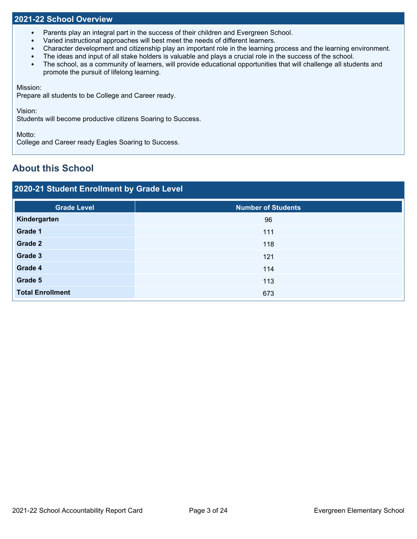#### **2021-22 School Overview**

- Parents play an integral part in the success of their children and Evergreen School.
- Varied instructional approaches will best meet the needs of different learners.
- Character development and citizenship play an important role in the learning process and the learning environment.
- The ideas and input of all stake holders is valuable and plays a crucial role in the success of the school.
- The school, as a community of learners, will provide educational opportunities that will challenge all students and promote the pursuit of lifelong learning.

Mission:

Prepare all students to be College and Career ready.

Vision:

Students will become productive citizens Soaring to Success.

Motto:

College and Career ready Eagles Soaring to Success.

## **About this School**

## **2020-21 Student Enrollment by Grade Level**

| <b>Number of Students</b> |
|---------------------------|
| 96                        |
| 111                       |
| 118                       |
| 121                       |
| 114                       |
| 113                       |
| 673                       |
|                           |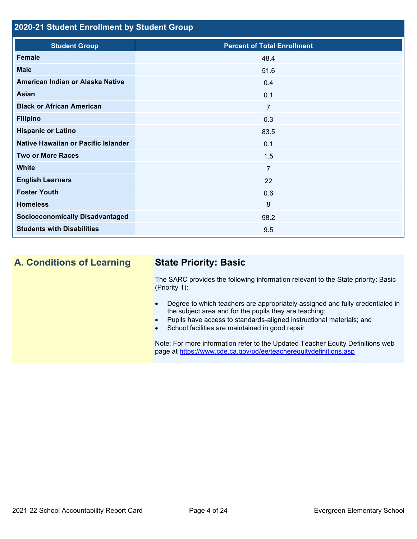## **2020-21 Student Enrollment by Student Group**

| <b>Student Group</b>                   | <b>Percent of Total Enrollment</b> |
|----------------------------------------|------------------------------------|
| <b>Female</b>                          | 48.4                               |
| <b>Male</b>                            | 51.6                               |
| American Indian or Alaska Native       | 0.4                                |
| Asian                                  | 0.1                                |
| <b>Black or African American</b>       | $\overline{7}$                     |
| <b>Filipino</b>                        | 0.3                                |
| <b>Hispanic or Latino</b>              | 83.5                               |
| Native Hawaiian or Pacific Islander    | 0.1                                |
| <b>Two or More Races</b>               | 1.5                                |
| <b>White</b>                           | $\overline{7}$                     |
| <b>English Learners</b>                | 22                                 |
| <b>Foster Youth</b>                    | 0.6                                |
| <b>Homeless</b>                        | 8                                  |
| <b>Socioeconomically Disadvantaged</b> | 98.2                               |
| <b>Students with Disabilities</b>      | 9.5                                |

## **A. Conditions of Learning State Priority: Basic**

The SARC provides the following information relevant to the State priority: Basic (Priority 1):

- Degree to which teachers are appropriately assigned and fully credentialed in the subject area and for the pupils they are teaching;
- Pupils have access to standards-aligned instructional materials; and
- School facilities are maintained in good repair

Note: For more information refer to the Updated Teacher Equity Definitions web page at<https://www.cde.ca.gov/pd/ee/teacherequitydefinitions.asp>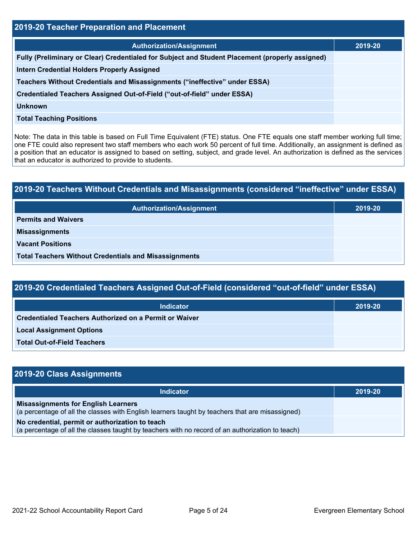| 2019-20 Teacher Preparation and Placement                                                       |         |  |  |  |
|-------------------------------------------------------------------------------------------------|---------|--|--|--|
| <b>Authorization/Assignment</b>                                                                 | 2019-20 |  |  |  |
| Fully (Preliminary or Clear) Credentialed for Subject and Student Placement (properly assigned) |         |  |  |  |
| <b>Intern Credential Holders Properly Assigned</b>                                              |         |  |  |  |
| Teachers Without Credentials and Misassignments ("ineffective" under ESSA)                      |         |  |  |  |
| Credentialed Teachers Assigned Out-of-Field ("out-of-field" under ESSA)                         |         |  |  |  |
| <b>Unknown</b>                                                                                  |         |  |  |  |
| <b>Total Teaching Positions</b>                                                                 |         |  |  |  |

Note: The data in this table is based on Full Time Equivalent (FTE) status. One FTE equals one staff member working full time; one FTE could also represent two staff members who each work 50 percent of full time. Additionally, an assignment is defined as a position that an educator is assigned to based on setting, subject, and grade level. An authorization is defined as the services that an educator is authorized to provide to students.

# **2019-20 Teachers Without Credentials and Misassignments (considered "ineffective" under ESSA) Authorization/Assignment 2019-20 Permits and Waivers Misassignments Vacant Positions Total Teachers Without Credentials and Misassignments**

| 2019-20 Credentialed Teachers Assigned Out-of-Field (considered "out-of-field" under ESSA) |         |  |  |  |
|--------------------------------------------------------------------------------------------|---------|--|--|--|
| Indicator                                                                                  | 2019-20 |  |  |  |
| Credentialed Teachers Authorized on a Permit or Waiver                                     |         |  |  |  |
| <b>Local Assignment Options</b>                                                            |         |  |  |  |
| <b>Total Out-of-Field Teachers</b>                                                         |         |  |  |  |

| 2019-20 Class Assignments                                                                                                                           |         |
|-----------------------------------------------------------------------------------------------------------------------------------------------------|---------|
| <b>Indicator</b>                                                                                                                                    | 2019-20 |
| <b>Misassignments for English Learners</b><br>(a percentage of all the classes with English learners taught by teachers that are misassigned)       |         |
| No credential, permit or authorization to teach<br>(a percentage of all the classes taught by teachers with no record of an authorization to teach) |         |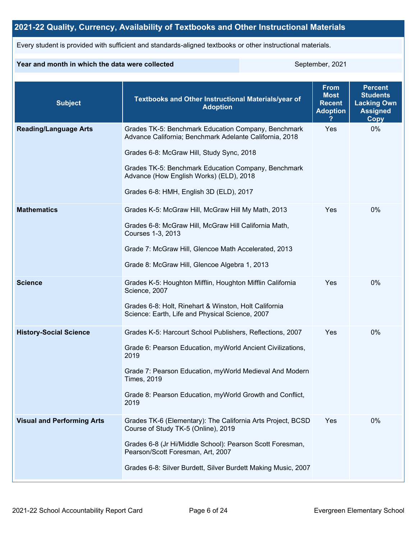## **2021-22 Quality, Currency, Availability of Textbooks and Other Instructional Materials**

Every student is provided with sufficient and standards-aligned textbooks or other instructional materials.

#### **Year and month in which the data were collected** September, 2021

| <b>Subject</b>                    | <b>Textbooks and Other Instructional Materials/year of</b><br><b>Adoption</b>                                                                                                                                                                                                                            | <b>From</b><br><b>Most</b><br><b>Recent</b><br><b>Adoption</b> | <b>Percent</b><br><b>Students</b><br><b>Lacking Own</b><br><b>Assigned</b><br>Copy |
|-----------------------------------|----------------------------------------------------------------------------------------------------------------------------------------------------------------------------------------------------------------------------------------------------------------------------------------------------------|----------------------------------------------------------------|------------------------------------------------------------------------------------|
| <b>Reading/Language Arts</b>      | Grades TK-5: Benchmark Education Company, Benchmark<br>Advance California; Benchmark Adelante California, 2018<br>Grades 6-8: McGraw Hill, Study Sync, 2018<br>Grades TK-5: Benchmark Education Company, Benchmark<br>Advance (How English Works) (ELD), 2018<br>Grades 6-8: HMH, English 3D (ELD), 2017 | Yes                                                            | 0%                                                                                 |
| <b>Mathematics</b>                | Grades K-5: McGraw Hill, McGraw Hill My Math, 2013<br>Grades 6-8: McGraw Hill, McGraw Hill California Math,<br>Courses 1-3, 2013<br>Grade 7: McGraw Hill, Glencoe Math Accelerated, 2013<br>Grade 8: McGraw Hill, Glencoe Algebra 1, 2013                                                                | Yes                                                            | $0\%$                                                                              |
| <b>Science</b>                    | Grades K-5: Houghton Mifflin, Houghton Mifflin California<br>Science, 2007<br>Grades 6-8: Holt, Rinehart & Winston, Holt California<br>Science: Earth, Life and Physical Science, 2007                                                                                                                   | Yes                                                            | 0%                                                                                 |
| <b>History-Social Science</b>     | Grades K-5: Harcourt School Publishers, Reflections, 2007<br>Grade 6: Pearson Education, myWorld Ancient Civilizations,<br>2019<br>Grade 7: Pearson Education, myWorld Medieval And Modern<br><b>Times, 2019</b><br>Grade 8: Pearson Education, myWorld Growth and Conflict,<br>2019                     | Yes                                                            | 0%                                                                                 |
| <b>Visual and Performing Arts</b> | Grades TK-6 (Elementary): The California Arts Project, BCSD<br>Course of Study TK-5 (Online), 2019<br>Grades 6-8 (Jr Hi/Middle School): Pearson Scott Foresman,<br>Pearson/Scott Foresman, Art, 2007<br>Grades 6-8: Silver Burdett, Silver Burdett Making Music, 2007                                    | Yes                                                            | 0%                                                                                 |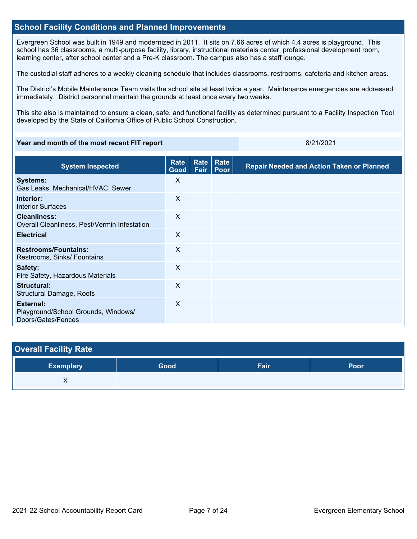#### **School Facility Conditions and Planned Improvements**

Evergreen School was built in 1949 and modernized in 2011. It sits on 7.66 acres of which 4.4 acres is playground. This school has 36 classrooms, a multi-purpose facility, library, instructional materials center, professional development room, learning center, after school center and a Pre-K classroom. The campus also has a staff lounge.

The custodial staff adheres to a weekly cleaning schedule that includes classrooms, restrooms, cafeteria and kitchen areas.

The District's Mobile Maintenance Team visits the school site at least twice a year. Maintenance emergencies are addressed immediately. District personnel maintain the grounds at least once every two weeks.

This site also is maintained to ensure a clean, safe, and functional facility as determined pursuant to a Facility Inspection Tool developed by the State of California Office of Public School Construction.

#### **Year and month of the most recent FIT report** 8/21/2021 **8/21/2021**

| <b>System Inspected</b>                                                | <b>Rate</b><br>Good       | Rate<br>Fair | Rate<br>Poor | <b>Repair Needed and Action Taken or Planned</b> |
|------------------------------------------------------------------------|---------------------------|--------------|--------------|--------------------------------------------------|
| <b>Systems:</b><br>Gas Leaks, Mechanical/HVAC, Sewer                   | $\times$                  |              |              |                                                  |
| Interior:<br><b>Interior Surfaces</b>                                  | X                         |              |              |                                                  |
| <b>Cleanliness:</b><br>Overall Cleanliness, Pest/Vermin Infestation    | X                         |              |              |                                                  |
| <b>Electrical</b>                                                      | X                         |              |              |                                                  |
| <b>Restrooms/Fountains:</b><br>Restrooms, Sinks/ Fountains             | $\sf X$                   |              |              |                                                  |
| Safety:<br>Fire Safety, Hazardous Materials                            | $\boldsymbol{\mathsf{X}}$ |              |              |                                                  |
| Structural:<br>Structural Damage, Roofs                                | X                         |              |              |                                                  |
| External:<br>Playground/School Grounds, Windows/<br>Doors/Gates/Fences | X                         |              |              |                                                  |

| <b>Overall Facility Rate</b> |      |      |      |
|------------------------------|------|------|------|
| <b>Exemplary</b>             | Good | Fair | Poor |
| Λ                            |      |      |      |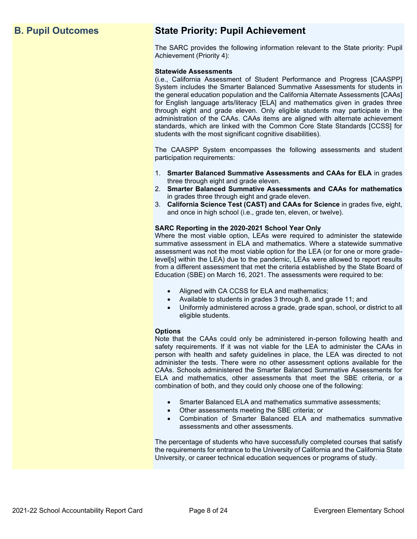## **B. Pupil Outcomes State Priority: Pupil Achievement**

The SARC provides the following information relevant to the State priority: Pupil Achievement (Priority 4):

#### **Statewide Assessments**

(i.e., California Assessment of Student Performance and Progress [CAASPP] System includes the Smarter Balanced Summative Assessments for students in the general education population and the California Alternate Assessments [CAAs] for English language arts/literacy [ELA] and mathematics given in grades three through eight and grade eleven. Only eligible students may participate in the administration of the CAAs. CAAs items are aligned with alternate achievement standards, which are linked with the Common Core State Standards [CCSS] for students with the most significant cognitive disabilities).

The CAASPP System encompasses the following assessments and student participation requirements:

- 1. **Smarter Balanced Summative Assessments and CAAs for ELA** in grades three through eight and grade eleven.
- 2. **Smarter Balanced Summative Assessments and CAAs for mathematics** in grades three through eight and grade eleven.
- 3. **California Science Test (CAST) and CAAs for Science** in grades five, eight, and once in high school (i.e., grade ten, eleven, or twelve).

#### **SARC Reporting in the 2020-2021 School Year Only**

Where the most viable option, LEAs were required to administer the statewide summative assessment in ELA and mathematics. Where a statewide summative assessment was not the most viable option for the LEA (or for one or more gradelevel[s] within the LEA) due to the pandemic, LEAs were allowed to report results from a different assessment that met the criteria established by the State Board of Education (SBE) on March 16, 2021. The assessments were required to be:

- Aligned with CA CCSS for ELA and mathematics;
- Available to students in grades 3 through 8, and grade 11; and
- Uniformly administered across a grade, grade span, school, or district to all eligible students.

#### **Options**

Note that the CAAs could only be administered in-person following health and safety requirements. If it was not viable for the LEA to administer the CAAs in person with health and safety guidelines in place, the LEA was directed to not administer the tests. There were no other assessment options available for the CAAs. Schools administered the Smarter Balanced Summative Assessments for ELA and mathematics, other assessments that meet the SBE criteria, or a combination of both, and they could only choose one of the following:

- Smarter Balanced ELA and mathematics summative assessments;
- Other assessments meeting the SBE criteria; or
- Combination of Smarter Balanced ELA and mathematics summative assessments and other assessments.

The percentage of students who have successfully completed courses that satisfy the requirements for entrance to the University of California and the California State University, or career technical education sequences or programs of study.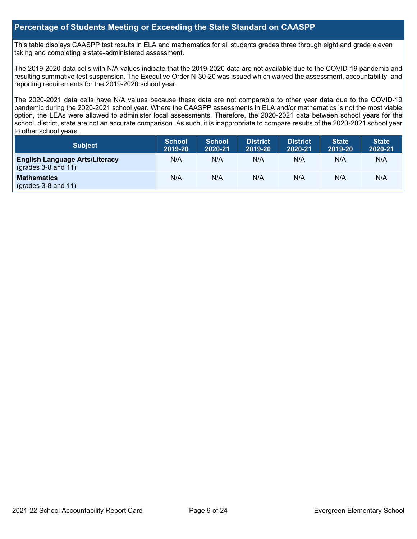#### **Percentage of Students Meeting or Exceeding the State Standard on CAASPP**

This table displays CAASPP test results in ELA and mathematics for all students grades three through eight and grade eleven taking and completing a state-administered assessment.

The 2019-2020 data cells with N/A values indicate that the 2019-2020 data are not available due to the COVID-19 pandemic and resulting summative test suspension. The Executive Order N-30-20 was issued which waived the assessment, accountability, and reporting requirements for the 2019-2020 school year.

The 2020-2021 data cells have N/A values because these data are not comparable to other year data due to the COVID-19 pandemic during the 2020-2021 school year. Where the CAASPP assessments in ELA and/or mathematics is not the most viable option, the LEAs were allowed to administer local assessments. Therefore, the 2020-2021 data between school years for the school, district, state are not an accurate comparison. As such, it is inappropriate to compare results of the 2020-2021 school year to other school years.

| Subject                                                              | <b>School</b><br>2019-20 | <b>School</b><br>2020-21 | <b>District</b><br>2019-20 | <b>District</b><br>2020-21 | <b>State</b><br>2019-20 | <b>State</b><br>2020-21 |
|----------------------------------------------------------------------|--------------------------|--------------------------|----------------------------|----------------------------|-------------------------|-------------------------|
| <b>English Language Arts/Literacy</b><br>$\left($ grades 3-8 and 11) | N/A                      | N/A                      | N/A                        | N/A                        | N/A                     | N/A                     |
| <b>Mathematics</b><br>$(grades 3-8 and 11)$                          | N/A                      | N/A                      | N/A                        | N/A                        | N/A                     | N/A                     |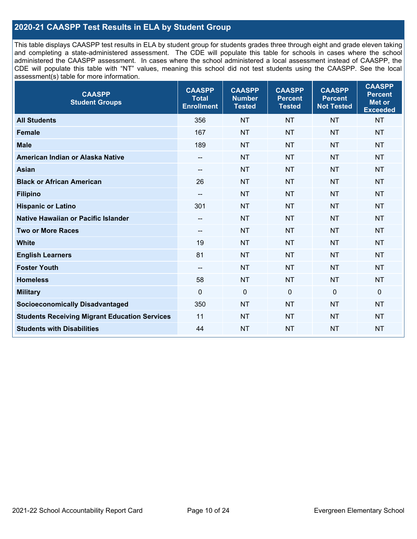## **2020-21 CAASPP Test Results in ELA by Student Group**

This table displays CAASPP test results in ELA by student group for students grades three through eight and grade eleven taking and completing a state-administered assessment. The CDE will populate this table for schools in cases where the school administered the CAASPP assessment. In cases where the school administered a local assessment instead of CAASPP, the CDE will populate this table with "NT" values, meaning this school did not test students using the CAASPP. See the local assessment(s) table for more information.

| <b>CAASPP</b><br><b>Student Groups</b>               | <b>CAASPP</b><br><b>Total</b><br><b>Enrollment</b> | <b>CAASPP</b><br><b>Number</b><br><b>Tested</b> | <b>CAASPP</b><br><b>Percent</b><br><b>Tested</b> | <b>CAASPP</b><br><b>Percent</b><br><b>Not Tested</b> | <b>CAASPP</b><br><b>Percent</b><br>Met or<br><b>Exceeded</b> |
|------------------------------------------------------|----------------------------------------------------|-------------------------------------------------|--------------------------------------------------|------------------------------------------------------|--------------------------------------------------------------|
| <b>All Students</b>                                  | 356                                                | <b>NT</b>                                       | <b>NT</b>                                        | <b>NT</b>                                            | <b>NT</b>                                                    |
| <b>Female</b>                                        | 167                                                | <b>NT</b>                                       | <b>NT</b>                                        | <b>NT</b>                                            | <b>NT</b>                                                    |
| <b>Male</b>                                          | 189                                                | <b>NT</b>                                       | <b>NT</b>                                        | <b>NT</b>                                            | <b>NT</b>                                                    |
| American Indian or Alaska Native                     | --                                                 | <b>NT</b>                                       | <b>NT</b>                                        | <b>NT</b>                                            | <b>NT</b>                                                    |
| <b>Asian</b>                                         | --                                                 | <b>NT</b>                                       | <b>NT</b>                                        | <b>NT</b>                                            | <b>NT</b>                                                    |
| <b>Black or African American</b>                     | 26                                                 | <b>NT</b>                                       | <b>NT</b>                                        | <b>NT</b>                                            | <b>NT</b>                                                    |
| <b>Filipino</b>                                      | --                                                 | <b>NT</b>                                       | <b>NT</b>                                        | <b>NT</b>                                            | <b>NT</b>                                                    |
| <b>Hispanic or Latino</b>                            | 301                                                | <b>NT</b>                                       | <b>NT</b>                                        | <b>NT</b>                                            | <b>NT</b>                                                    |
| Native Hawaiian or Pacific Islander                  | --                                                 | <b>NT</b>                                       | <b>NT</b>                                        | <b>NT</b>                                            | <b>NT</b>                                                    |
| <b>Two or More Races</b>                             | --                                                 | <b>NT</b>                                       | <b>NT</b>                                        | <b>NT</b>                                            | <b>NT</b>                                                    |
| <b>White</b>                                         | 19                                                 | <b>NT</b>                                       | <b>NT</b>                                        | <b>NT</b>                                            | <b>NT</b>                                                    |
| <b>English Learners</b>                              | 81                                                 | <b>NT</b>                                       | <b>NT</b>                                        | <b>NT</b>                                            | <b>NT</b>                                                    |
| <b>Foster Youth</b>                                  | $-$                                                | <b>NT</b>                                       | <b>NT</b>                                        | <b>NT</b>                                            | <b>NT</b>                                                    |
| <b>Homeless</b>                                      | 58                                                 | <b>NT</b>                                       | <b>NT</b>                                        | <b>NT</b>                                            | <b>NT</b>                                                    |
| <b>Military</b>                                      | $\mathbf 0$                                        | $\mathbf 0$                                     | $\mathbf 0$                                      | $\mathbf 0$                                          | 0                                                            |
| <b>Socioeconomically Disadvantaged</b>               | 350                                                | <b>NT</b>                                       | <b>NT</b>                                        | <b>NT</b>                                            | <b>NT</b>                                                    |
| <b>Students Receiving Migrant Education Services</b> | 11                                                 | <b>NT</b>                                       | <b>NT</b>                                        | <b>NT</b>                                            | <b>NT</b>                                                    |
| <b>Students with Disabilities</b>                    | 44                                                 | <b>NT</b>                                       | <b>NT</b>                                        | <b>NT</b>                                            | <b>NT</b>                                                    |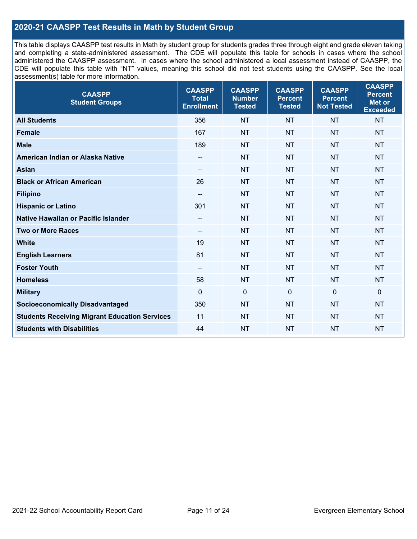## **2020-21 CAASPP Test Results in Math by Student Group**

This table displays CAASPP test results in Math by student group for students grades three through eight and grade eleven taking and completing a state-administered assessment. The CDE will populate this table for schools in cases where the school administered the CAASPP assessment. In cases where the school administered a local assessment instead of CAASPP, the CDE will populate this table with "NT" values, meaning this school did not test students using the CAASPP. See the local assessment(s) table for more information.

| <b>CAASPP</b><br><b>Student Groups</b>               | <b>CAASPP</b><br><b>Total</b><br><b>Enrollment</b> | <b>CAASPP</b><br><b>Number</b><br><b>Tested</b> | <b>CAASPP</b><br><b>Percent</b><br><b>Tested</b> | <b>CAASPP</b><br><b>Percent</b><br><b>Not Tested</b> | <b>CAASPP</b><br><b>Percent</b><br>Met or<br><b>Exceeded</b> |
|------------------------------------------------------|----------------------------------------------------|-------------------------------------------------|--------------------------------------------------|------------------------------------------------------|--------------------------------------------------------------|
| <b>All Students</b>                                  | 356                                                | <b>NT</b>                                       | <b>NT</b>                                        | <b>NT</b>                                            | <b>NT</b>                                                    |
| <b>Female</b>                                        | 167                                                | <b>NT</b>                                       | <b>NT</b>                                        | <b>NT</b>                                            | <b>NT</b>                                                    |
| <b>Male</b>                                          | 189                                                | <b>NT</b>                                       | <b>NT</b>                                        | <b>NT</b>                                            | <b>NT</b>                                                    |
| American Indian or Alaska Native                     | $\overline{\phantom{a}}$                           | <b>NT</b>                                       | <b>NT</b>                                        | <b>NT</b>                                            | <b>NT</b>                                                    |
| <b>Asian</b>                                         | --                                                 | <b>NT</b>                                       | <b>NT</b>                                        | <b>NT</b>                                            | <b>NT</b>                                                    |
| <b>Black or African American</b>                     | 26                                                 | <b>NT</b>                                       | <b>NT</b>                                        | <b>NT</b>                                            | <b>NT</b>                                                    |
| <b>Filipino</b>                                      | $-$                                                | <b>NT</b>                                       | <b>NT</b>                                        | <b>NT</b>                                            | <b>NT</b>                                                    |
| <b>Hispanic or Latino</b>                            | 301                                                | <b>NT</b>                                       | <b>NT</b>                                        | <b>NT</b>                                            | <b>NT</b>                                                    |
| Native Hawaiian or Pacific Islander                  | --                                                 | <b>NT</b>                                       | <b>NT</b>                                        | <b>NT</b>                                            | <b>NT</b>                                                    |
| <b>Two or More Races</b>                             | --                                                 | <b>NT</b>                                       | <b>NT</b>                                        | <b>NT</b>                                            | <b>NT</b>                                                    |
| <b>White</b>                                         | 19                                                 | <b>NT</b>                                       | <b>NT</b>                                        | <b>NT</b>                                            | <b>NT</b>                                                    |
| <b>English Learners</b>                              | 81                                                 | <b>NT</b>                                       | <b>NT</b>                                        | <b>NT</b>                                            | <b>NT</b>                                                    |
| <b>Foster Youth</b>                                  | $\overline{\phantom{a}}$                           | <b>NT</b>                                       | <b>NT</b>                                        | <b>NT</b>                                            | <b>NT</b>                                                    |
| <b>Homeless</b>                                      | 58                                                 | <b>NT</b>                                       | <b>NT</b>                                        | <b>NT</b>                                            | <b>NT</b>                                                    |
| <b>Military</b>                                      | $\Omega$                                           | $\mathbf 0$                                     | $\mathbf{0}$                                     | $\mathbf 0$                                          | 0                                                            |
| <b>Socioeconomically Disadvantaged</b>               | 350                                                | <b>NT</b>                                       | <b>NT</b>                                        | <b>NT</b>                                            | <b>NT</b>                                                    |
| <b>Students Receiving Migrant Education Services</b> | 11                                                 | <b>NT</b>                                       | <b>NT</b>                                        | <b>NT</b>                                            | <b>NT</b>                                                    |
| <b>Students with Disabilities</b>                    | 44                                                 | <b>NT</b>                                       | <b>NT</b>                                        | <b>NT</b>                                            | <b>NT</b>                                                    |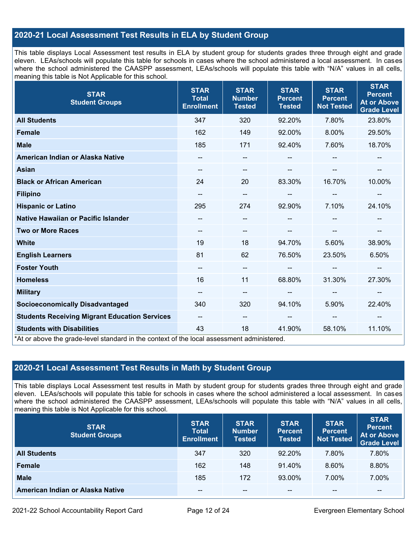## **2020-21 Local Assessment Test Results in ELA by Student Group**

This table displays Local Assessment test results in ELA by student group for students grades three through eight and grade eleven. LEAs/schools will populate this table for schools in cases where the school administered a local assessment. In cases where the school administered the CAASPP assessment, LEAs/schools will populate this table with "N/A" values in all cells, meaning this table is Not Applicable for this school.

| <b>STAR</b><br><b>Student Groups</b>                                                                                            | <b>STAR</b><br><b>Total</b><br><b>Enrollment</b> | <b>STAR</b><br><b>Number</b><br><b>Tested</b> | <b>STAR</b><br><b>Percent</b><br><b>Tested</b> | <b>STAR</b><br><b>Percent</b><br><b>Not Tested</b> | <b>STAR</b><br><b>Percent</b><br><b>At or Above</b><br><b>Grade Level</b> |
|---------------------------------------------------------------------------------------------------------------------------------|--------------------------------------------------|-----------------------------------------------|------------------------------------------------|----------------------------------------------------|---------------------------------------------------------------------------|
| <b>All Students</b>                                                                                                             | 347                                              | 320                                           | 92.20%                                         | 7.80%                                              | 23.80%                                                                    |
| <b>Female</b>                                                                                                                   | 162                                              | 149                                           | 92.00%                                         | 8.00%                                              | 29.50%                                                                    |
| <b>Male</b>                                                                                                                     | 185                                              | 171                                           | 92.40%                                         | 7.60%                                              | 18.70%                                                                    |
| American Indian or Alaska Native                                                                                                | $\qquad \qquad -$                                | $\overline{\phantom{m}}$                      | --                                             | $\overline{\phantom{a}}$                           | $\overline{\phantom{a}}$                                                  |
| <b>Asian</b>                                                                                                                    | --                                               | --                                            |                                                |                                                    |                                                                           |
| <b>Black or African American</b>                                                                                                | 24                                               | 20                                            | 83.30%                                         | 16.70%                                             | 10.00%                                                                    |
| <b>Filipino</b>                                                                                                                 |                                                  | --                                            |                                                |                                                    | --                                                                        |
| <b>Hispanic or Latino</b>                                                                                                       | 295                                              | 274                                           | 92.90%                                         | 7.10%                                              | 24.10%                                                                    |
| <b>Native Hawaiian or Pacific Islander</b>                                                                                      |                                                  | --                                            |                                                |                                                    |                                                                           |
| <b>Two or More Races</b>                                                                                                        | $\qquad \qquad -$                                | --                                            |                                                |                                                    | --                                                                        |
| <b>White</b>                                                                                                                    | 19                                               | 18                                            | 94.70%                                         | 5.60%                                              | 38.90%                                                                    |
| <b>English Learners</b>                                                                                                         | 81                                               | 62                                            | 76.50%                                         | 23.50%                                             | 6.50%                                                                     |
| <b>Foster Youth</b>                                                                                                             | $\overline{\phantom{a}}$                         | --                                            |                                                | --                                                 |                                                                           |
| <b>Homeless</b>                                                                                                                 | 16                                               | 11                                            | 68.80%                                         | 31.30%                                             | 27.30%                                                                    |
| <b>Military</b>                                                                                                                 | $\qquad \qquad -$                                | --                                            | $\overline{\phantom{a}}$                       | $\overline{\phantom{a}}$                           | $\overline{\phantom{a}}$                                                  |
| <b>Socioeconomically Disadvantaged</b>                                                                                          | 340                                              | 320                                           | 94.10%                                         | 5.90%                                              | 22.40%                                                                    |
| <b>Students Receiving Migrant Education Services</b>                                                                            | $- -$                                            | $\qquad \qquad -$                             | --                                             | --                                                 |                                                                           |
| <b>Students with Disabilities</b><br>*At or above the grade-level standard in the context of the local assessment administered. | 43                                               | 18                                            | 41.90%                                         | 58.10%                                             | 11.10%                                                                    |

## **2020-21 Local Assessment Test Results in Math by Student Group**

This table displays Local Assessment test results in Math by student group for students grades three through eight and grade eleven. LEAs/schools will populate this table for schools in cases where the school administered a local assessment. In cases where the school administered the CAASPP assessment, LEAs/schools will populate this table with "N/A" values in all cells, meaning this table is Not Applicable for this school.

| <b>STAR</b><br><b>Student Groups</b> | <b>STAR</b><br><b>Total</b><br><b>Enrollment</b> | <b>STAR</b><br><b>Number</b><br><b>Tested</b> | <b>STAR</b><br><b>Percent</b><br><b>Tested</b> | <b>STAR</b><br><b>Percent</b><br><b>Not Tested</b> | <b>STAR</b><br><b>Percent</b><br><b>At or Above</b><br><b>Grade Level</b> |
|--------------------------------------|--------------------------------------------------|-----------------------------------------------|------------------------------------------------|----------------------------------------------------|---------------------------------------------------------------------------|
| <b>All Students</b>                  | 347                                              | 320                                           | $92.20\%$                                      | 7.80%                                              | 7.80%                                                                     |
| <b>Female</b>                        | 162                                              | 148                                           | 91.40%                                         | 8.60%                                              | 8.80%                                                                     |
| <b>Male</b>                          | 185                                              | 172                                           | 93.00%                                         | 7.00%                                              | 7.00%                                                                     |
| American Indian or Alaska Native     | --                                               | $- -$                                         | $- -$                                          | $- -$                                              | $\overline{\phantom{m}}$                                                  |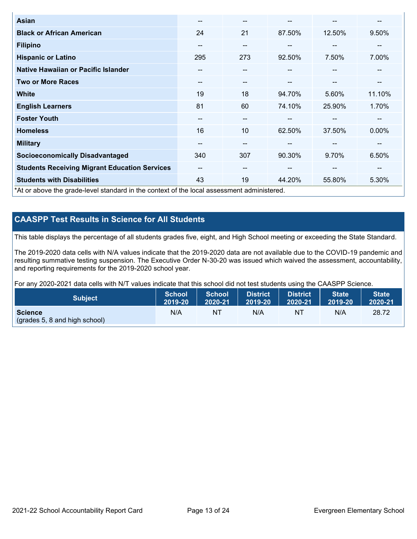| <b>Asian</b>                                                                               | --                       | $- -$                    |        | --                       | --     |
|--------------------------------------------------------------------------------------------|--------------------------|--------------------------|--------|--------------------------|--------|
| <b>Black or African American</b>                                                           | 24                       | 21                       | 87.50% | 12.50%                   | 9.50%  |
| <b>Filipino</b>                                                                            | --                       | $- -$                    | --     | --                       | --     |
| <b>Hispanic or Latino</b>                                                                  | 295                      | 273                      | 92.50% | 7.50%                    | 7.00%  |
| Native Hawaiian or Pacific Islander                                                        | $\overline{\phantom{m}}$ | $\overline{\phantom{m}}$ | --     | $\sim$                   | --     |
| <b>Two or More Races</b>                                                                   | $\overline{\phantom{m}}$ | $- -$                    | --     | $\overline{\phantom{m}}$ | --     |
| <b>White</b>                                                                               | 19                       | 18                       | 94.70% | 5.60%                    | 11.10% |
| <b>English Learners</b>                                                                    | 81                       | 60                       | 74.10% | 25.90%                   | 1.70%  |
| <b>Foster Youth</b>                                                                        | --                       | $- -$                    |        | --                       | --     |
| <b>Homeless</b>                                                                            | 16                       | 10                       | 62.50% | 37.50%                   | 0.00%  |
| <b>Military</b>                                                                            | --                       | $- -$                    | --     | --                       | --     |
| <b>Socioeconomically Disadvantaged</b>                                                     | 340                      | 307                      | 90.30% | 9.70%                    | 6.50%  |
| <b>Students Receiving Migrant Education Services</b>                                       | $- -$                    | $\overline{\phantom{m}}$ | --     | --                       | --     |
| <b>Students with Disabilities</b>                                                          | 43                       | 19                       | 44.20% | 55.80%                   | 5.30%  |
| *At or above the grade-level standard in the context of the local assessment administered. |                          |                          |        |                          |        |

## **CAASPP Test Results in Science for All Students**

This table displays the percentage of all students grades five, eight, and High School meeting or exceeding the State Standard.

The 2019-2020 data cells with N/A values indicate that the 2019-2020 data are not available due to the COVID-19 pandemic and resulting summative testing suspension. The Executive Order N-30-20 was issued which waived the assessment, accountability, and reporting requirements for the 2019-2020 school year.

For any 2020-2021 data cells with N/T values indicate that this school did not test students using the CAASPP Science.

| <b>Subject</b>                                           | <b>School</b> | <b>School</b> | <b>District</b> | District | <b>State</b> | <b>State</b> |
|----------------------------------------------------------|---------------|---------------|-----------------|----------|--------------|--------------|
|                                                          | 2019-20       | 2020-21       | 12019-20        | 2020-21  | 2019-20      | 2020-21      |
| <b>Science</b><br>$\left($ (grades 5, 8 and high school) | N/A           | NT            | N/A             | NT       | N/A          | 28.72        |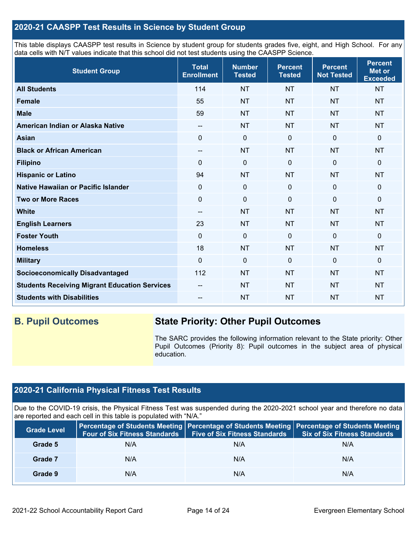### **2020-21 CAASPP Test Results in Science by Student Group**

This table displays CAASPP test results in Science by student group for students grades five, eight, and High School. For any data cells with N/T values indicate that this school did not test students using the CAASPP Science.

| <b>Student Group</b>                                 | <b>Total</b><br><b>Enrollment</b>     | <b>Number</b><br><b>Tested</b> | <b>Percent</b><br><b>Tested</b> | <b>Percent</b><br><b>Not Tested</b> | <b>Percent</b><br><b>Met or</b><br><b>Exceeded</b> |
|------------------------------------------------------|---------------------------------------|--------------------------------|---------------------------------|-------------------------------------|----------------------------------------------------|
| <b>All Students</b>                                  | 114                                   | <b>NT</b>                      | <b>NT</b>                       | <b>NT</b>                           | <b>NT</b>                                          |
| <b>Female</b>                                        | 55                                    | <b>NT</b>                      | <b>NT</b>                       | <b>NT</b>                           | <b>NT</b>                                          |
| <b>Male</b>                                          | 59                                    | <b>NT</b>                      | <b>NT</b>                       | <b>NT</b>                           | <b>NT</b>                                          |
| American Indian or Alaska Native                     | $\hspace{0.05cm}$ – $\hspace{0.05cm}$ | <b>NT</b>                      | <b>NT</b>                       | <b>NT</b>                           | <b>NT</b>                                          |
| <b>Asian</b>                                         | $\mathbf 0$                           | $\mathbf 0$                    | $\mathbf 0$                     | $\mathbf 0$                         | 0                                                  |
| <b>Black or African American</b>                     | $\overline{\phantom{a}}$              | <b>NT</b>                      | <b>NT</b>                       | <b>NT</b>                           | <b>NT</b>                                          |
| <b>Filipino</b>                                      | $\Omega$                              | $\mathbf 0$                    | $\mathbf 0$                     | 0                                   | 0                                                  |
| <b>Hispanic or Latino</b>                            | 94                                    | <b>NT</b>                      | <b>NT</b>                       | <b>NT</b>                           | <b>NT</b>                                          |
| Native Hawaiian or Pacific Islander                  | $\Omega$                              | $\mathbf 0$                    | $\mathbf 0$                     | $\overline{0}$                      | 0                                                  |
| <b>Two or More Races</b>                             | $\mathbf 0$                           | $\mathbf 0$                    | $\mathbf 0$                     | $\mathbf 0$                         | 0                                                  |
| <b>White</b>                                         | $-$                                   | <b>NT</b>                      | <b>NT</b>                       | <b>NT</b>                           | <b>NT</b>                                          |
| <b>English Learners</b>                              | 23                                    | <b>NT</b>                      | <b>NT</b>                       | <b>NT</b>                           | <b>NT</b>                                          |
| <b>Foster Youth</b>                                  | $\mathbf 0$                           | $\mathbf 0$                    | $\mathbf 0$                     | $\mathbf 0$                         | 0                                                  |
| <b>Homeless</b>                                      | 18                                    | <b>NT</b>                      | <b>NT</b>                       | <b>NT</b>                           | <b>NT</b>                                          |
| <b>Military</b>                                      | $\mathbf 0$                           | $\mathbf 0$                    | $\mathbf{0}$                    | $\mathbf 0$                         | 0                                                  |
| <b>Socioeconomically Disadvantaged</b>               | 112                                   | <b>NT</b>                      | <b>NT</b>                       | <b>NT</b>                           | <b>NT</b>                                          |
| <b>Students Receiving Migrant Education Services</b> | --                                    | <b>NT</b>                      | <b>NT</b>                       | <b>NT</b>                           | <b>NT</b>                                          |
| <b>Students with Disabilities</b>                    | --                                    | <b>NT</b>                      | <b>NT</b>                       | <b>NT</b>                           | <b>NT</b>                                          |

## **B. Pupil Outcomes State Priority: Other Pupil Outcomes**

The SARC provides the following information relevant to the State priority: Other Pupil Outcomes (Priority 8): Pupil outcomes in the subject area of physical education.

## **2020-21 California Physical Fitness Test Results**

Due to the COVID-19 crisis, the Physical Fitness Test was suspended during the 2020-2021 school year and therefore no data are reported and each cell in this table is populated with "N/A."

| <b>Grade Level</b> | <b>Four of Six Fitness Standards</b> | <b>Five of Six Fitness Standards</b> | Percentage of Students Meeting   Percentage of Students Meeting   Percentage of Students Meeting<br><b>Six of Six Fitness Standards</b> |
|--------------------|--------------------------------------|--------------------------------------|-----------------------------------------------------------------------------------------------------------------------------------------|
| Grade 5            | N/A                                  | N/A                                  | N/A                                                                                                                                     |
| Grade 7            | N/A                                  | N/A                                  | N/A                                                                                                                                     |
| Grade 9            | N/A                                  | N/A                                  | N/A                                                                                                                                     |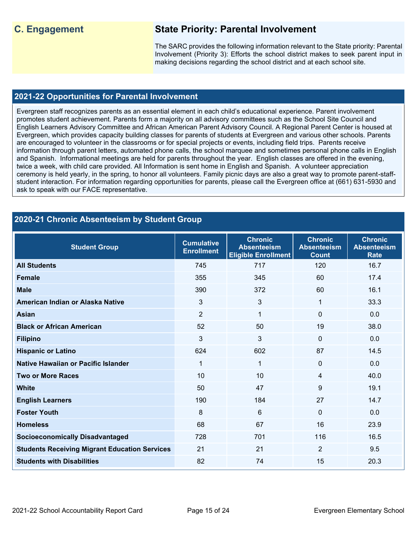## **C. Engagement State Priority: Parental Involvement**

The SARC provides the following information relevant to the State priority: Parental Involvement (Priority 3): Efforts the school district makes to seek parent input in making decisions regarding the school district and at each school site.

#### **2021-22 Opportunities for Parental Involvement**

Evergreen staff recognizes parents as an essential element in each child's educational experience. Parent involvement promotes student achievement. Parents form a majority on all advisory committees such as the School Site Council and English Learners Advisory Committee and African American Parent Advisory Council. A Regional Parent Center is housed at Evergreen, which provides capacity building classes for parents of students at Evergreen and various other schools. Parents are encouraged to volunteer in the classrooms or for special projects or events, including field trips. Parents receive information through parent letters, automated phone calls, the school marquee and sometimes personal phone calls in English and Spanish. Informational meetings are held for parents throughout the year. English classes are offered in the evening, twice a week, with child care provided. All Information is sent home in English and Spanish. A volunteer appreciation ceremony is held yearly, in the spring, to honor all volunteers. Family picnic days are also a great way to promote parent-staffstudent interaction. For information regarding opportunities for parents, please call the Evergreen office at (661) 631-5930 and ask to speak with our FACE representative.

## **2020-21 Chronic Absenteeism by Student Group**

| <b>Student Group</b>                                 | <b>Cumulative</b><br><b>Enrollment</b> | <b>Chronic</b><br><b>Absenteeism</b><br><b>Eligible Enrollment</b> | <b>Chronic</b><br><b>Absenteeism</b><br><b>Count</b> | <b>Chronic</b><br><b>Absenteeism</b><br><b>Rate</b> |
|------------------------------------------------------|----------------------------------------|--------------------------------------------------------------------|------------------------------------------------------|-----------------------------------------------------|
| <b>All Students</b>                                  | 745                                    | 717                                                                | 120                                                  | 16.7                                                |
| <b>Female</b>                                        | 355                                    | 345                                                                | 60                                                   | 17.4                                                |
| <b>Male</b>                                          | 390                                    | 372                                                                | 60                                                   | 16.1                                                |
| American Indian or Alaska Native                     | 3                                      | 3                                                                  | 1                                                    | 33.3                                                |
| <b>Asian</b>                                         | $\overline{2}$                         | 1                                                                  | $\Omega$                                             | 0.0                                                 |
| <b>Black or African American</b>                     | 52                                     | 50                                                                 | 19                                                   | 38.0                                                |
| <b>Filipino</b>                                      | $\mathbf{3}$                           | 3                                                                  | $\Omega$                                             | 0.0                                                 |
| <b>Hispanic or Latino</b>                            | 624                                    | 602                                                                | 87                                                   | 14.5                                                |
| Native Hawaiian or Pacific Islander                  | 1                                      | $\mathbf{1}$                                                       | 0                                                    | 0.0                                                 |
| <b>Two or More Races</b>                             | 10                                     | 10                                                                 | 4                                                    | 40.0                                                |
| <b>White</b>                                         | 50                                     | 47                                                                 | 9                                                    | 19.1                                                |
| <b>English Learners</b>                              | 190                                    | 184                                                                | 27                                                   | 14.7                                                |
| <b>Foster Youth</b>                                  | 8                                      | 6                                                                  | $\Omega$                                             | 0.0                                                 |
| <b>Homeless</b>                                      | 68                                     | 67                                                                 | 16                                                   | 23.9                                                |
| <b>Socioeconomically Disadvantaged</b>               | 728                                    | 701                                                                | 116                                                  | 16.5                                                |
| <b>Students Receiving Migrant Education Services</b> | 21                                     | 21                                                                 | $\overline{2}$                                       | 9.5                                                 |
| <b>Students with Disabilities</b>                    | 82                                     | 74                                                                 | 15                                                   | 20.3                                                |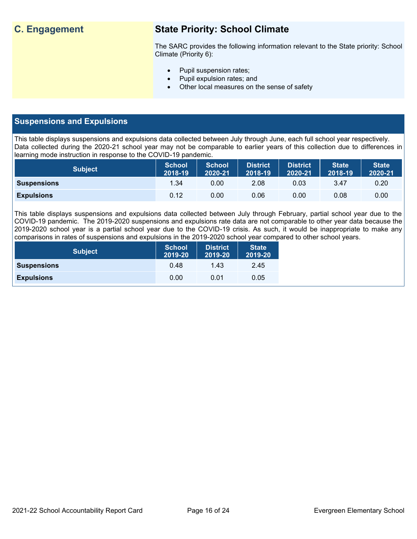## **C. Engagement State Priority: School Climate**

The SARC provides the following information relevant to the State priority: School Climate (Priority 6):

- Pupil suspension rates;
- Pupil expulsion rates; and
- Other local measures on the sense of safety

### **Suspensions and Expulsions**

This table displays suspensions and expulsions data collected between July through June, each full school year respectively. Data collected during the 2020-21 school year may not be comparable to earlier years of this collection due to differences in learning mode instruction in response to the COVID-19 pandemic.

| <b>Subject</b>     | <b>School</b><br>2018-19 | <b>School</b><br>2020-21 | District<br>2018-19 | <b>District</b><br>2020-21 | <b>State</b><br>2018-19 | <b>State</b><br>2020-21 |
|--------------------|--------------------------|--------------------------|---------------------|----------------------------|-------------------------|-------------------------|
| <b>Suspensions</b> | 1.34                     | 0.00                     | 2.08                | 0.03                       | 3.47                    | 0.20                    |
| <b>Expulsions</b>  | 0.12                     | 0.00                     | 0.06                | 0.00                       | 0.08                    | 0.00                    |

This table displays suspensions and expulsions data collected between July through February, partial school year due to the COVID-19 pandemic. The 2019-2020 suspensions and expulsions rate data are not comparable to other year data because the 2019-2020 school year is a partial school year due to the COVID-19 crisis. As such, it would be inappropriate to make any comparisons in rates of suspensions and expulsions in the 2019-2020 school year compared to other school years.

| <b>Subject</b>     | <b>School</b><br>2019-20 | <b>District</b><br>2019-20 | <b>State</b><br>2019-20 |
|--------------------|--------------------------|----------------------------|-------------------------|
| <b>Suspensions</b> | 0.48                     | 1.43                       | 2.45                    |
| <b>Expulsions</b>  | 0.00                     | 0.01                       | 0.05                    |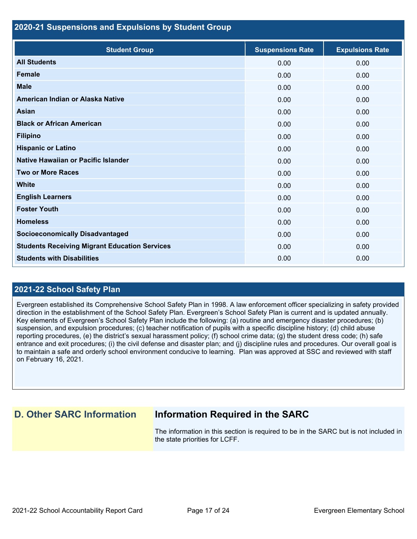#### **2020-21 Suspensions and Expulsions by Student Group**

| <b>Student Group</b>                                 | <b>Suspensions Rate</b> | <b>Expulsions Rate</b> |
|------------------------------------------------------|-------------------------|------------------------|
| <b>All Students</b>                                  | 0.00                    | 0.00                   |
| <b>Female</b>                                        | 0.00                    | 0.00                   |
| <b>Male</b>                                          | 0.00                    | 0.00                   |
| American Indian or Alaska Native                     | 0.00                    | 0.00                   |
| <b>Asian</b>                                         | 0.00                    | 0.00                   |
| <b>Black or African American</b>                     | 0.00                    | 0.00                   |
| <b>Filipino</b>                                      | 0.00                    | 0.00                   |
| <b>Hispanic or Latino</b>                            | 0.00                    | 0.00                   |
| Native Hawaiian or Pacific Islander                  | 0.00                    | 0.00                   |
| <b>Two or More Races</b>                             | 0.00                    | 0.00                   |
| <b>White</b>                                         | 0.00                    | 0.00                   |
| <b>English Learners</b>                              | 0.00                    | 0.00                   |
| <b>Foster Youth</b>                                  | 0.00                    | 0.00                   |
| <b>Homeless</b>                                      | 0.00                    | 0.00                   |
| <b>Socioeconomically Disadvantaged</b>               | 0.00                    | 0.00                   |
| <b>Students Receiving Migrant Education Services</b> | 0.00                    | 0.00                   |
| <b>Students with Disabilities</b>                    | 0.00                    | 0.00                   |

### **2021-22 School Safety Plan**

Evergreen established its Comprehensive School Safety Plan in 1998. A law enforcement officer specializing in safety provided direction in the establishment of the School Safety Plan. Evergreen's School Safety Plan is current and is updated annually. Key elements of Evergreen's School Safety Plan include the following: (a) routine and emergency disaster procedures; (b) suspension, and expulsion procedures; (c) teacher notification of pupils with a specific discipline history; (d) child abuse reporting procedures, (e) the district's sexual harassment policy; (f) school crime data; (g) the student dress code; (h) safe entrance and exit procedures; (i) the civil defense and disaster plan; and (j) discipline rules and procedures. Our overall goal is to maintain a safe and orderly school environment conducive to learning. Plan was approved at SSC and reviewed with staff on February 16, 2021.

## **D. Other SARC Information Information Required in the SARC**

The information in this section is required to be in the SARC but is not included in the state priorities for LCFF.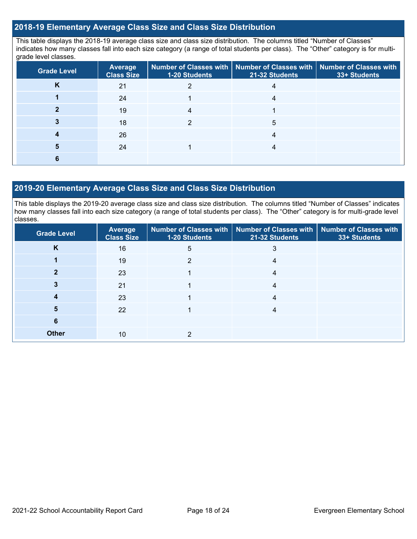#### **2018-19 Elementary Average Class Size and Class Size Distribution**

This table displays the 2018-19 average class size and class size distribution. The columns titled "Number of Classes" indicates how many classes fall into each size category (a range of total students per class). The "Other" category is for multigrade level classes.

| <b>Grade Level</b> | <b>Average</b><br><b>Class Size</b> | Number of Classes with   Number of Classes with   Number of Classes with<br><b>1-20 Students</b> | 21-32 Students | 33+ Students |
|--------------------|-------------------------------------|--------------------------------------------------------------------------------------------------|----------------|--------------|
| Κ                  | 21                                  |                                                                                                  |                |              |
|                    | 24                                  |                                                                                                  |                |              |
|                    | 19                                  | 4                                                                                                |                |              |
|                    | 18                                  |                                                                                                  | 5              |              |
|                    | 26                                  |                                                                                                  |                |              |
|                    | 24                                  |                                                                                                  |                |              |
|                    |                                     |                                                                                                  |                |              |

#### **2019-20 Elementary Average Class Size and Class Size Distribution**

This table displays the 2019-20 average class size and class size distribution. The columns titled "Number of Classes" indicates how many classes fall into each size category (a range of total students per class). The "Other" category is for multi-grade level classes.

| <b>Grade Level</b> | Average<br><b>Class Size</b> | 1-20 Students  | Number of Classes with   Number of Classes with   Number of Classes with<br>21-32 Students | 33+ Students |
|--------------------|------------------------------|----------------|--------------------------------------------------------------------------------------------|--------------|
| K                  | 16                           | 5              | 3                                                                                          |              |
|                    | 19                           | $\mathfrak{p}$ | 4                                                                                          |              |
|                    | 23                           |                | 4                                                                                          |              |
|                    | 21                           |                | 4                                                                                          |              |
| 4                  | 23                           |                | 4                                                                                          |              |
| 5                  | 22                           |                | 4                                                                                          |              |
| 6                  |                              |                |                                                                                            |              |
| <b>Other</b>       | 10                           | っ              |                                                                                            |              |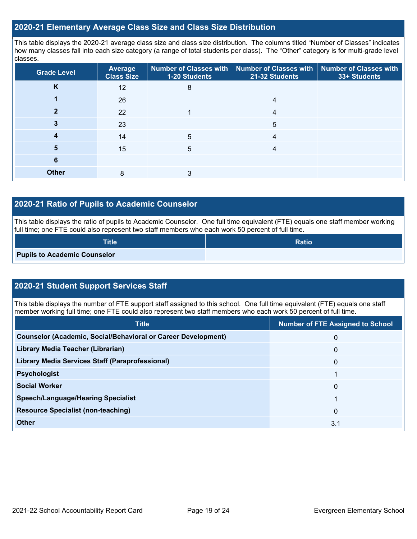#### **2020-21 Elementary Average Class Size and Class Size Distribution**

This table displays the 2020-21 average class size and class size distribution. The columns titled "Number of Classes" indicates how many classes fall into each size category (a range of total students per class). The "Other" category is for multi-grade level classes.

| <b>Grade Level</b> | <b>Average</b><br><b>Class Size</b> | 1-20 Students | Number of Classes with   Number of Classes with   Number of Classes with<br>21-32 Students | 33+ Students |
|--------------------|-------------------------------------|---------------|--------------------------------------------------------------------------------------------|--------------|
| K                  | 12                                  | 8             |                                                                                            |              |
|                    | 26                                  |               | 4                                                                                          |              |
|                    | 22                                  |               | 4                                                                                          |              |
| 3                  | 23                                  |               | 5                                                                                          |              |
| 4                  | 14                                  | 5             | 4                                                                                          |              |
| 5                  | 15                                  | 5             | 4                                                                                          |              |
| 6                  |                                     |               |                                                                                            |              |
| <b>Other</b>       | 8                                   | 3             |                                                                                            |              |

### **2020-21 Ratio of Pupils to Academic Counselor**

This table displays the ratio of pupils to Academic Counselor. One full time equivalent (FTE) equals one staff member working full time; one FTE could also represent two staff members who each work 50 percent of full time.

| <b>Title</b>                        | <b>Ratio</b> |
|-------------------------------------|--------------|
| <b>Pupils to Academic Counselor</b> |              |

## **2020-21 Student Support Services Staff**

This table displays the number of FTE support staff assigned to this school. One full time equivalent (FTE) equals one staff member working full time; one FTE could also represent two staff members who each work 50 percent of full time.

| <b>Title</b>                                                         | <b>Number of FTE Assigned to School</b> |
|----------------------------------------------------------------------|-----------------------------------------|
| <b>Counselor (Academic, Social/Behavioral or Career Development)</b> | 0                                       |
| Library Media Teacher (Librarian)                                    | $\mathbf{0}$                            |
| <b>Library Media Services Staff (Paraprofessional)</b>               | $\mathbf{0}$                            |
| <b>Psychologist</b>                                                  |                                         |
| <b>Social Worker</b>                                                 | $\mathbf{0}$                            |
| <b>Speech/Language/Hearing Specialist</b>                            | 4                                       |
| <b>Resource Specialist (non-teaching)</b>                            | $\mathbf{0}$                            |
| <b>Other</b>                                                         | 3.1                                     |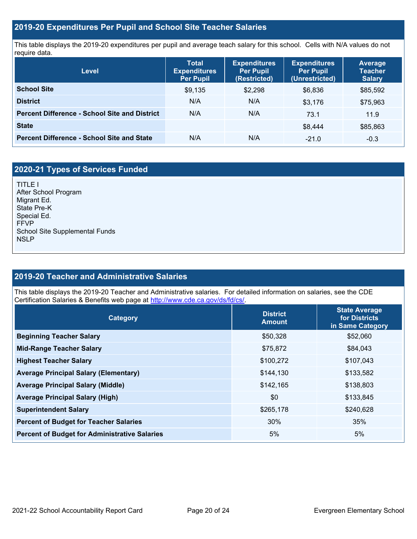#### **2019-20 Expenditures Per Pupil and School Site Teacher Salaries**

This table displays the 2019-20 expenditures per pupil and average teach salary for this school. Cells with N/A values do not require data.

| Level                                                | <b>Total</b><br><b>Expenditures</b><br>Per Pupil | <b>Expenditures</b><br><b>Per Pupil</b><br>(Restricted) | <b>Expenditures</b><br><b>Per Pupil</b><br>(Unrestricted) | <b>Average</b><br><b>Teacher</b><br><b>Salary</b> |
|------------------------------------------------------|--------------------------------------------------|---------------------------------------------------------|-----------------------------------------------------------|---------------------------------------------------|
| <b>School Site</b>                                   | \$9,135                                          | \$2,298                                                 | \$6,836                                                   | \$85,592                                          |
| <b>District</b>                                      | N/A                                              | N/A                                                     | \$3.176                                                   | \$75,963                                          |
| <b>Percent Difference - School Site and District</b> | N/A                                              | N/A                                                     | 73.1                                                      | 11.9                                              |
| <b>State</b>                                         |                                                  |                                                         | \$8,444                                                   | \$85,863                                          |
| <b>Percent Difference - School Site and State</b>    | N/A                                              | N/A                                                     | $-21.0$                                                   | $-0.3$                                            |

## **2020-21 Types of Services Funded**

TITLE I After School Program Migrant Ed. State Pre-K Special Ed. FFVP School Site Supplemental Funds NSLP

## **2019-20 Teacher and Administrative Salaries**

This table displays the 2019-20 Teacher and Administrative salaries. For detailed information on salaries, see the CDE Certification Salaries & Benefits web page at [http://www.cde.ca.gov/ds/fd/cs/.](http://www.cde.ca.gov/ds/fd/cs/)

| Category                                             | <b>District</b><br><b>Amount</b> | <b>State Average</b><br>for Districts<br>in Same Category |
|------------------------------------------------------|----------------------------------|-----------------------------------------------------------|
| <b>Beginning Teacher Salary</b>                      | \$50,328                         | \$52,060                                                  |
| <b>Mid-Range Teacher Salary</b>                      | \$75,872                         | \$84,043                                                  |
| <b>Highest Teacher Salary</b>                        | \$100,272                        | \$107,043                                                 |
| <b>Average Principal Salary (Elementary)</b>         | \$144,130                        | \$133,582                                                 |
| <b>Average Principal Salary (Middle)</b>             | \$142,165                        | \$138,803                                                 |
| <b>Average Principal Salary (High)</b>               | \$0                              | \$133,845                                                 |
| <b>Superintendent Salary</b>                         | \$265,178                        | \$240,628                                                 |
| <b>Percent of Budget for Teacher Salaries</b>        | 30%                              | 35%                                                       |
| <b>Percent of Budget for Administrative Salaries</b> | 5%                               | 5%                                                        |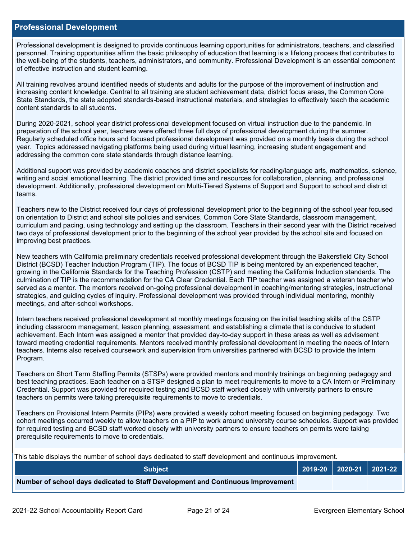#### **Professional Development**

Professional development is designed to provide continuous learning opportunities for administrators, teachers, and classified personnel. Training opportunities affirm the basic philosophy of education that learning is a lifelong process that contributes to the well-being of the students, teachers, administrators, and community. Professional Development is an essential component of effective instruction and student learning.

All training revolves around identified needs of students and adults for the purpose of the improvement of instruction and increasing content knowledge. Central to all training are student achievement data, district focus areas, the Common Core State Standards, the state adopted standards-based instructional materials, and strategies to effectively teach the academic content standards to all students.

During 2020-2021, school year district professional development focused on virtual instruction due to the pandemic. In preparation of the school year, teachers were offered three full days of professional development during the summer. Regularly scheduled office hours and focused professional development was provided on a monthly basis during the school year. Topics addressed navigating platforms being used during virtual learning, increasing student engagement and addressing the common core state standards through distance learning.

Additional support was provided by academic coaches and district specialists for reading/language arts, mathematics, science, writing and social emotional learning. The district provided time and resources for collaboration, planning, and professional development. Additionally, professional development on Multi-Tiered Systems of Support and Support to school and district teams.

Teachers new to the District received four days of professional development prior to the beginning of the school year focused on orientation to District and school site policies and services, Common Core State Standards, classroom management, curriculum and pacing, using technology and setting up the classroom. Teachers in their second year with the District received two days of professional development prior to the beginning of the school year provided by the school site and focused on improving best practices.

New teachers with California preliminary credentials received professional development through the Bakersfield City School District (BCSD) Teacher Induction Program (TIP). The focus of BCSD TIP is being mentored by an experienced teacher, growing in the California Standards for the Teaching Profession (CSTP) and meeting the California Induction standards. The culmination of TIP is the recommendation for the CA Clear Credential. Each TIP teacher was assigned a veteran teacher who served as a mentor. The mentors received on-going professional development in coaching/mentoring strategies, instructional strategies, and guiding cycles of inquiry. Professional development was provided through individual mentoring, monthly meetings, and after-school workshops.

Intern teachers received professional development at monthly meetings focusing on the initial teaching skills of the CSTP including classroom management, lesson planning, assessment, and establishing a climate that is conducive to student achievement. Each Intern was assigned a mentor that provided day-to-day support in these areas as well as advisement toward meeting credential requirements. Mentors received monthly professional development in meeting the needs of Intern teachers. Interns also received coursework and supervision from universities partnered with BCSD to provide the Intern Program.

Teachers on Short Term Staffing Permits (STSPs) were provided mentors and monthly trainings on beginning pedagogy and best teaching practices. Each teacher on a STSP designed a plan to meet requirements to move to a CA Intern or Preliminary Credential. Support was provided for required testing and BCSD staff worked closely with university partners to ensure teachers on permits were taking prerequisite requirements to move to credentials.

Teachers on Provisional Intern Permits (PIPs) were provided a weekly cohort meeting focused on beginning pedagogy. Two cohort meetings occurred weekly to allow teachers on a PIP to work around university course schedules. Support was provided for required testing and BCSD staff worked closely with university partners to ensure teachers on permits were taking prerequisite requirements to move to credentials.

This table displays the number of school days dedicated to staff development and continuous improvement.

| <b>Subject</b>                                                                  |  | 2019-20   2020-21   2021-22 |
|---------------------------------------------------------------------------------|--|-----------------------------|
| Number of school days dedicated to Staff Development and Continuous Improvement |  |                             |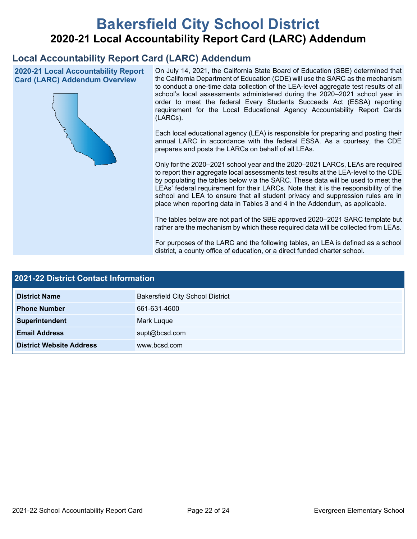# **Bakersfield City School District 2020-21 Local Accountability Report Card (LARC) Addendum**

## **Local Accountability Report Card (LARC) Addendum**

**2020-21 Local Accountability Report Card (LARC) Addendum Overview**



On July 14, 2021, the California State Board of Education (SBE) determined that the California Department of Education (CDE) will use the SARC as the mechanism to conduct a one-time data collection of the LEA-level aggregate test results of all school's local assessments administered during the 2020–2021 school year in order to meet the federal Every Students Succeeds Act (ESSA) reporting requirement for the Local Educational Agency Accountability Report Cards (LARCs).

Each local educational agency (LEA) is responsible for preparing and posting their annual LARC in accordance with the federal ESSA. As a courtesy, the CDE prepares and posts the LARCs on behalf of all LEAs.

Only for the 2020–2021 school year and the 2020–2021 LARCs, LEAs are required to report their aggregate local assessments test results at the LEA-level to the CDE by populating the tables below via the SARC. These data will be used to meet the LEAs' federal requirement for their LARCs. Note that it is the responsibility of the school and LEA to ensure that all student privacy and suppression rules are in place when reporting data in Tables 3 and 4 in the Addendum, as applicable.

The tables below are not part of the SBE approved 2020–2021 SARC template but rather are the mechanism by which these required data will be collected from LEAs.

For purposes of the LARC and the following tables, an LEA is defined as a school district, a county office of education, or a direct funded charter school.

| <b>2021-22 District Contact Information</b> |                                         |  |  |  |
|---------------------------------------------|-----------------------------------------|--|--|--|
| <b>District Name</b>                        | <b>Bakersfield City School District</b> |  |  |  |
| <b>Phone Number</b>                         | 661-631-4600                            |  |  |  |
| Superintendent                              | Mark Luque                              |  |  |  |
| <b>Email Address</b>                        | supt@bcsd.com                           |  |  |  |
| <b>District Website Address</b>             | www.bcsd.com                            |  |  |  |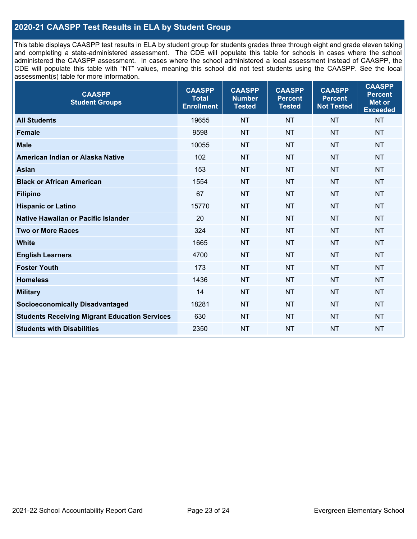## **2020-21 CAASPP Test Results in ELA by Student Group**

This table displays CAASPP test results in ELA by student group for students grades three through eight and grade eleven taking and completing a state-administered assessment. The CDE will populate this table for schools in cases where the school administered the CAASPP assessment. In cases where the school administered a local assessment instead of CAASPP, the CDE will populate this table with "NT" values, meaning this school did not test students using the CAASPP. See the local assessment(s) table for more information.

| <b>CAASPP</b><br><b>Student Groups</b>               | <b>CAASPP</b><br><b>Total</b><br><b>Enrollment</b> | <b>CAASPP</b><br><b>Number</b><br><b>Tested</b> | <b>CAASPP</b><br><b>Percent</b><br><b>Tested</b> | <b>CAASPP</b><br><b>Percent</b><br><b>Not Tested</b> | <b>CAASPP</b><br><b>Percent</b><br>Met or<br><b>Exceeded</b> |
|------------------------------------------------------|----------------------------------------------------|-------------------------------------------------|--------------------------------------------------|------------------------------------------------------|--------------------------------------------------------------|
| <b>All Students</b>                                  | 19655                                              | <b>NT</b>                                       | <b>NT</b>                                        | <b>NT</b>                                            | <b>NT</b>                                                    |
| <b>Female</b>                                        | 9598                                               | <b>NT</b>                                       | <b>NT</b>                                        | <b>NT</b>                                            | <b>NT</b>                                                    |
| <b>Male</b>                                          | 10055                                              | <b>NT</b>                                       | <b>NT</b>                                        | <b>NT</b>                                            | <b>NT</b>                                                    |
| American Indian or Alaska Native                     | 102                                                | <b>NT</b>                                       | <b>NT</b>                                        | <b>NT</b>                                            | <b>NT</b>                                                    |
| <b>Asian</b>                                         | 153                                                | <b>NT</b>                                       | <b>NT</b>                                        | <b>NT</b>                                            | <b>NT</b>                                                    |
| <b>Black or African American</b>                     | 1554                                               | <b>NT</b>                                       | <b>NT</b>                                        | <b>NT</b>                                            | NT                                                           |
| <b>Filipino</b>                                      | 67                                                 | <b>NT</b>                                       | <b>NT</b>                                        | <b>NT</b>                                            | <b>NT</b>                                                    |
| <b>Hispanic or Latino</b>                            | 15770                                              | <b>NT</b>                                       | <b>NT</b>                                        | <b>NT</b>                                            | <b>NT</b>                                                    |
| Native Hawaiian or Pacific Islander                  | 20                                                 | <b>NT</b>                                       | <b>NT</b>                                        | <b>NT</b>                                            | <b>NT</b>                                                    |
| <b>Two or More Races</b>                             | 324                                                | <b>NT</b>                                       | <b>NT</b>                                        | <b>NT</b>                                            | <b>NT</b>                                                    |
| <b>White</b>                                         | 1665                                               | <b>NT</b>                                       | <b>NT</b>                                        | <b>NT</b>                                            | <b>NT</b>                                                    |
| <b>English Learners</b>                              | 4700                                               | <b>NT</b>                                       | <b>NT</b>                                        | <b>NT</b>                                            | <b>NT</b>                                                    |
| <b>Foster Youth</b>                                  | 173                                                | <b>NT</b>                                       | <b>NT</b>                                        | <b>NT</b>                                            | <b>NT</b>                                                    |
| <b>Homeless</b>                                      | 1436                                               | <b>NT</b>                                       | <b>NT</b>                                        | <b>NT</b>                                            | <b>NT</b>                                                    |
| <b>Military</b>                                      | 14                                                 | <b>NT</b>                                       | <b>NT</b>                                        | <b>NT</b>                                            | <b>NT</b>                                                    |
| <b>Socioeconomically Disadvantaged</b>               | 18281                                              | <b>NT</b>                                       | <b>NT</b>                                        | <b>NT</b>                                            | <b>NT</b>                                                    |
| <b>Students Receiving Migrant Education Services</b> | 630                                                | <b>NT</b>                                       | <b>NT</b>                                        | <b>NT</b>                                            | NT                                                           |
| <b>Students with Disabilities</b>                    | 2350                                               | <b>NT</b>                                       | <b>NT</b>                                        | <b>NT</b>                                            | NT                                                           |